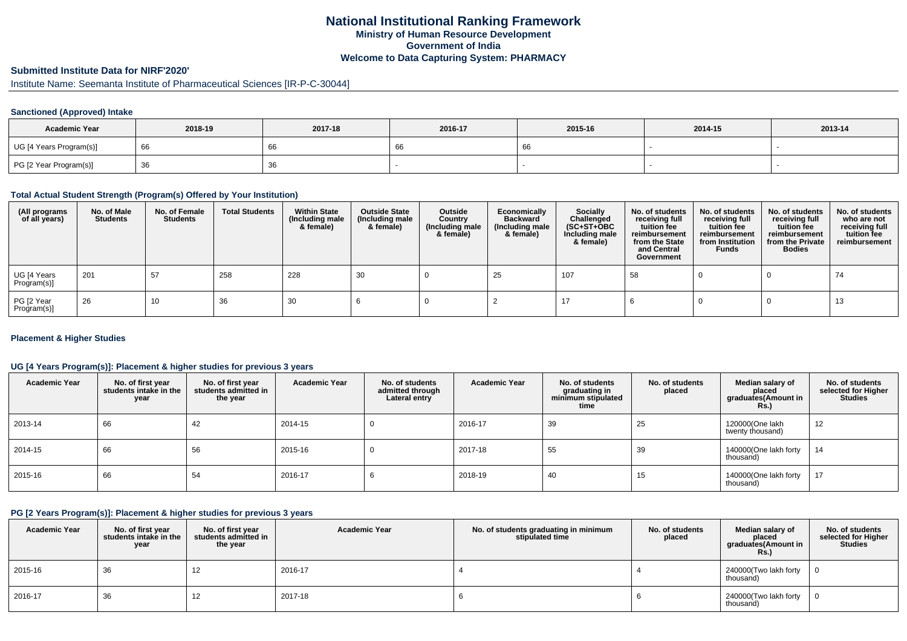## **National Institutional Ranking FrameworkMinistry of Human Resource DevelopmentGovernment of IndiaWelcome to Data Capturing System: PHARMACY**

# **Submitted Institute Data for NIRF'2020'**

# Institute Name: Seemanta Institute of Pharmaceutical Sciences [IR-P-C-30044]

## **Sanctioned (Approved) Intake**

| <b>Academic Year</b>    | 2018-19 | 2017-18 | 2016-17 | 2015-16 | 2014-15 | 2013-14 |
|-------------------------|---------|---------|---------|---------|---------|---------|
| UG [4 Years Program(s)] | - 66    | ΩC      | ັບເ     |         |         |         |
| PG [2 Year Program(s)]  | ახ      | 36      |         |         |         |         |

#### **Total Actual Student Strength (Program(s) Offered by Your Institution)**

| (All programs<br>of all years) | No. of Male<br><b>Students</b> | No. of Female<br>Students | <b>Total Students</b> | <b>Within State</b><br>(Including male<br>& female) | <b>Outside State</b><br>(Including male<br>& female) | Outside<br>Country<br>(Including male<br>& female) | Economically<br><b>Backward</b><br>(Including male<br>& female) | <b>Socially</b><br>Challenged<br>$(SC+ST+OBC)$<br>Including male<br>& female) | No. of students<br>receiving full<br>tuition fee<br>reimbursement<br>from the State<br>and Central<br>Government | No. of students<br>receiving full<br>tuition fee<br>reimbursement<br>from Institution<br><b>Funds</b> | No. of students<br>receiving full<br>tuition fee<br>reimbursement<br>from the Private<br><b>Bodies</b> | No. of students<br>who are not<br>receiving full<br>tuition fee<br>reimbursement |
|--------------------------------|--------------------------------|---------------------------|-----------------------|-----------------------------------------------------|------------------------------------------------------|----------------------------------------------------|-----------------------------------------------------------------|-------------------------------------------------------------------------------|------------------------------------------------------------------------------------------------------------------|-------------------------------------------------------------------------------------------------------|--------------------------------------------------------------------------------------------------------|----------------------------------------------------------------------------------|
| UG [4 Years<br>Program(s)]     | 201                            | 57                        | 258                   | 228                                                 | 30                                                   |                                                    | 25                                                              | 107                                                                           | -58                                                                                                              |                                                                                                       |                                                                                                        | 74                                                                               |
| PG [2 Year<br>Program(s)]      | 26                             | 10                        | 36                    | 30                                                  |                                                      |                                                    |                                                                 |                                                                               |                                                                                                                  |                                                                                                       |                                                                                                        | 13                                                                               |

#### **Placement & Higher Studies**

#### **UG [4 Years Program(s)]: Placement & higher studies for previous 3 years**

| <b>Academic Year</b> | No. of first year<br>students intake in the<br>year | No. of first year<br>students admitted in<br>the year | <b>Academic Year</b> | No. of students<br>admitted through<br>Lateral entry | <b>Academic Year</b> | No. of students<br>graduating in<br>minimum stipulated<br>time | No. of students<br>placed | Median salary of<br>placed<br>graduates(Amount in<br>Rs.) | No. of students<br>selected for Higher<br><b>Studies</b> |
|----------------------|-----------------------------------------------------|-------------------------------------------------------|----------------------|------------------------------------------------------|----------------------|----------------------------------------------------------------|---------------------------|-----------------------------------------------------------|----------------------------------------------------------|
| 2013-14              | 66                                                  | 42                                                    | 2014-15              |                                                      | 2016-17              | 39                                                             | 25                        | 120000(One lakh<br>twenty thousand)                       | 12                                                       |
| 2014-15              | 66                                                  | 56                                                    | 2015-16              |                                                      | 2017-18              | 55                                                             | 39                        | 140000(One lakh forty<br>thousand)                        | 14                                                       |
| 2015-16              | 66                                                  | 54                                                    | 2016-17              |                                                      | 2018-19              | 40                                                             | 15                        | 140000(One lakh forty<br>thousand)                        | 17                                                       |

### **PG [2 Years Program(s)]: Placement & higher studies for previous 3 years**

| <b>Academic Year</b> | No. of first year<br>students intake in the<br>year | No. of first year<br>students admitted in<br>the year | <b>Academic Year</b> | No. of students graduating in minimum<br>stipulated time | No. of students<br>placed | Median salary of<br>placed<br>graduates(Amount in<br>Rs.) | No. of students<br>selected for Higher<br><b>Studies</b> |
|----------------------|-----------------------------------------------------|-------------------------------------------------------|----------------------|----------------------------------------------------------|---------------------------|-----------------------------------------------------------|----------------------------------------------------------|
| 2015-16              | 36                                                  | 12                                                    | 2016-17              |                                                          |                           | 240000(Two lakh forty<br>thousand)                        | 0                                                        |
| 2016-17              | 36                                                  | 12                                                    | 2017-18              |                                                          |                           | 240000(Two lakh forty<br>thousand)                        |                                                          |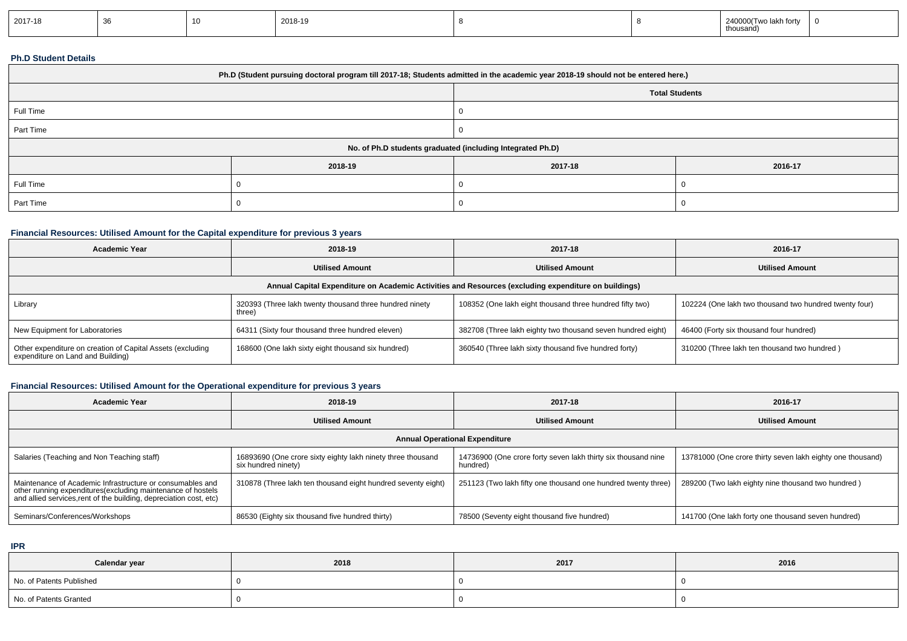| 2017-18 |  | $\overline{A}$ | 2018-19 |  |  | 240000(Two lakh forty<br>.nousand) |  |
|---------|--|----------------|---------|--|--|------------------------------------|--|
|---------|--|----------------|---------|--|--|------------------------------------|--|

### **Ph.D Student Details**

| Ph.D (Student pursuing doctoral program till 2017-18; Students admitted in the academic year 2018-19 should not be entered here.) |         |                       |         |  |  |
|-----------------------------------------------------------------------------------------------------------------------------------|---------|-----------------------|---------|--|--|
|                                                                                                                                   |         | <b>Total Students</b> |         |  |  |
| Full Time                                                                                                                         |         |                       |         |  |  |
| Part Time                                                                                                                         |         |                       |         |  |  |
| No. of Ph.D students graduated (including Integrated Ph.D)                                                                        |         |                       |         |  |  |
|                                                                                                                                   | 2018-19 | 2017-18               | 2016-17 |  |  |
| Full Time                                                                                                                         |         |                       |         |  |  |
| Part Time                                                                                                                         |         |                       |         |  |  |

## **Financial Resources: Utilised Amount for the Capital expenditure for previous 3 years**

| <b>Academic Year</b>                                                                                 | 2018-19                                                           | 2017-18                                                     | 2016-17                                                |  |  |  |  |
|------------------------------------------------------------------------------------------------------|-------------------------------------------------------------------|-------------------------------------------------------------|--------------------------------------------------------|--|--|--|--|
|                                                                                                      | <b>Utilised Amount</b>                                            | <b>Utilised Amount</b>                                      | <b>Utilised Amount</b>                                 |  |  |  |  |
| Annual Capital Expenditure on Academic Activities and Resources (excluding expenditure on buildings) |                                                                   |                                                             |                                                        |  |  |  |  |
| Library                                                                                              | 320393 (Three lakh twenty thousand three hundred ninety<br>three) | 108352 (One lakh eight thousand three hundred fifty two)    | 102224 (One lakh two thousand two hundred twenty four) |  |  |  |  |
| New Equipment for Laboratories                                                                       | 64311 (Sixty four thousand three hundred eleven)                  | 382708 (Three lakh eighty two thousand seven hundred eight) | 46400 (Forty six thousand four hundred)                |  |  |  |  |
| Other expenditure on creation of Capital Assets (excluding<br>expenditure on Land and Building)      | 168600 (One lakh sixty eight thousand six hundred)                | 360540 (Three lakh sixty thousand five hundred forty)       | 310200 (Three lakh ten thousand two hundred)           |  |  |  |  |

## **Financial Resources: Utilised Amount for the Operational expenditure for previous 3 years**

| Academic Year                                                                                                                                                                                  | 2018-19                                                                            | 2017-18                                                                   | 2016-17                                                    |  |  |  |  |
|------------------------------------------------------------------------------------------------------------------------------------------------------------------------------------------------|------------------------------------------------------------------------------------|---------------------------------------------------------------------------|------------------------------------------------------------|--|--|--|--|
|                                                                                                                                                                                                | <b>Utilised Amount</b>                                                             | <b>Utilised Amount</b>                                                    | <b>Utilised Amount</b>                                     |  |  |  |  |
| <b>Annual Operational Expenditure</b>                                                                                                                                                          |                                                                                    |                                                                           |                                                            |  |  |  |  |
| Salaries (Teaching and Non Teaching staff)                                                                                                                                                     | 16893690 (One crore sixty eighty lakh ninety three thousand<br>six hundred ninety) | 14736900 (One crore forty seven lakh thirty six thousand nine<br>hundred) | 13781000 (One crore thirty seven lakh eighty one thousand) |  |  |  |  |
| Maintenance of Academic Infrastructure or consumables and<br>other running expenditures(excluding maintenance of hostels<br>and allied services, rent of the building, depreciation cost, etc) | 310878 (Three lakh ten thousand eight hundred seventy eight)                       | 251123 (Two lakh fifty one thousand one hundred twenty three)             | 289200 (Two lakh eighty nine thousand two hundred)         |  |  |  |  |
| Seminars/Conferences/Workshops                                                                                                                                                                 | 86530 (Eighty six thousand five hundred thirty)                                    | 78500 (Seventy eight thousand five hundred)                               | 141700 (One lakh forty one thousand seven hundred)         |  |  |  |  |

**IPR**

| Calendar year            | 2018 | 2017 | 2016 |
|--------------------------|------|------|------|
| No. of Patents Published |      |      |      |
| No. of Patents Granted   |      |      |      |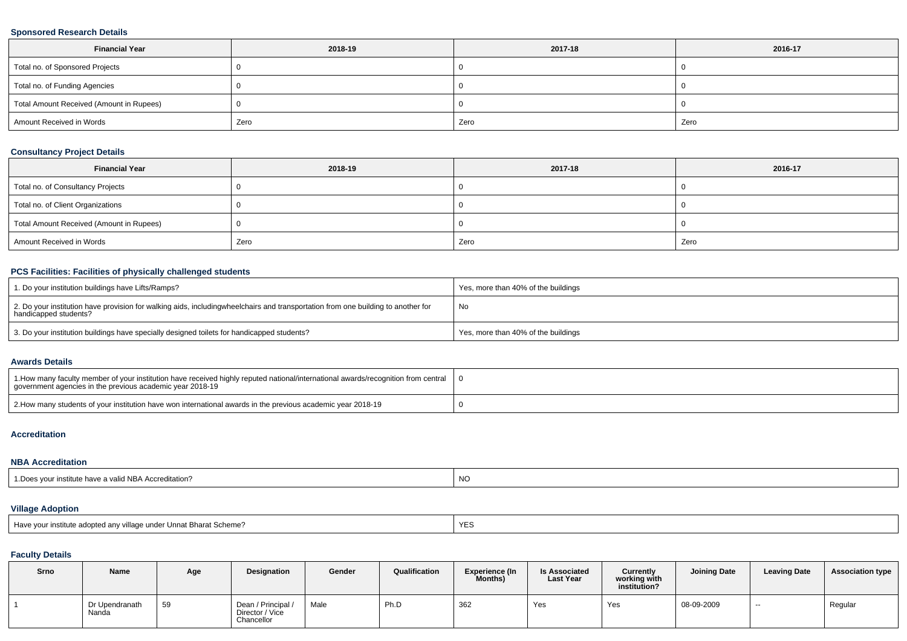### **Sponsored Research Details**

| <b>Financial Year</b>                    | 2018-19 | 2017-18 | 2016-17 |
|------------------------------------------|---------|---------|---------|
| Total no. of Sponsored Projects          |         |         |         |
| Total no. of Funding Agencies            |         |         |         |
| Total Amount Received (Amount in Rupees) |         |         |         |
| Amount Received in Words                 | Zero    | Zero    | Zero    |

### **Consultancy Project Details**

| <b>Financial Year</b>                    | 2018-19 | 2017-18 | 2016-17 |
|------------------------------------------|---------|---------|---------|
| Total no. of Consultancy Projects        |         |         |         |
| Total no. of Client Organizations        |         |         |         |
| Total Amount Received (Amount in Rupees) |         |         |         |
| Amount Received in Words                 | Zero    | Zero    | Zero    |

# **PCS Facilities: Facilities of physically challenged students**

| 1. Do your institution buildings have Lifts/Ramps?                                                                                                        | Yes, more than 40% of the buildings |
|-----------------------------------------------------------------------------------------------------------------------------------------------------------|-------------------------------------|
| 2. Do your institution have provision for walking aids, includingwheelchairs and transportation from one building to another for<br>handicapped students? | No                                  |
| $^{\prime}$ 3. Do your institution buildings have specially designed toilets for handicapped students?                                                    | Yes, more than 40% of the buildings |

#### **Awards Details**

| 10 1. How many faculty member of your institution have received highly reputed national/international awards/recognition from central $\pm 0$<br>government agencies in the previous academic vear 2018-19 |  |
|------------------------------------------------------------------------------------------------------------------------------------------------------------------------------------------------------------|--|
| 2. Alow many students of your institution have won international awards in the previous academic year 2018-19                                                                                              |  |

### **Accreditation**

#### **NBA Accreditation**

| 1. Does your institute have a valid NBA Accreditation? | <b>NO</b> |
|--------------------------------------------------------|-----------|
|--------------------------------------------------------|-----------|

## **Village Adoption**

| Have vour institute adopted any village under Unnat Bharat Scheme? |  |
|--------------------------------------------------------------------|--|
|--------------------------------------------------------------------|--|

### **Faculty Details**

| Srno | Name                    | Age | <b>Designation</b>                                  | Gender | Qualification | <b>Experience (In</b><br>Months) | <b>Is Associated</b><br><b>Last Year</b> | Currently<br>working with<br>institution? | <b>Joining Date</b> | <b>Leaving Date</b> | <b>Association type</b> |
|------|-------------------------|-----|-----------------------------------------------------|--------|---------------|----------------------------------|------------------------------------------|-------------------------------------------|---------------------|---------------------|-------------------------|
|      | Dr Upendranath<br>Nanda | 59  | Dean / Principal /<br>Director / Vice<br>Chancellor | Male   | Ph.D          | 362                              | Yes                                      | Yes                                       | 08-09-2009          | $\sim$              | Regular                 |